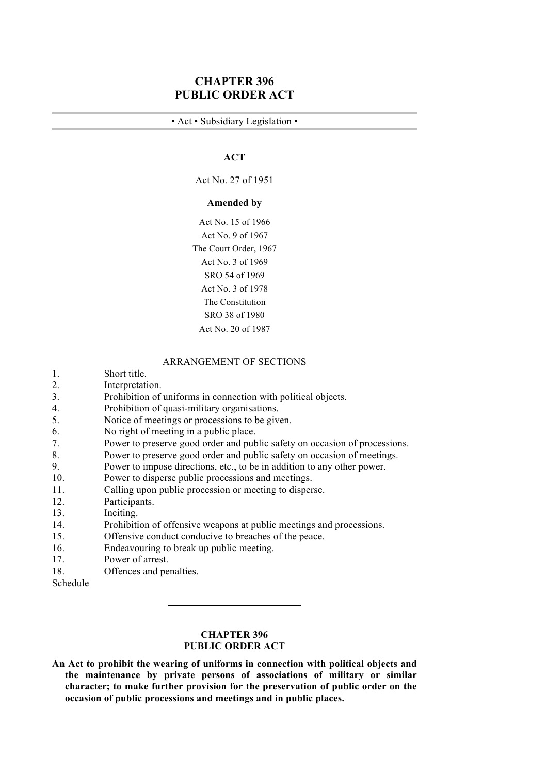# **CHAPTER 396 PUBLIC ORDER ACT**

• Act • Subsidiary Legislation •

# **ACT**

Act No. 27 of 1951

# **Amended by**

Act No. 15 of 1966 Act No. 9 of 1967 The Court Order, 1967 Act No. 3 of 1969 SRO 54 of 1969 Act No. 3 of 1978 The Constitution SRO 38 of 1980 Act No. 20 of 1987

# ARRANGEMENT OF SECTIONS

- 1. Short title.
- 2. Interpretation.
- 3. Prohibition of uniforms in connection with political objects.
- 4. Prohibition of quasi-military organisations.
- 5. Notice of meetings or processions to be given.
- 6. No right of meeting in a public place.
- 7. Power to preserve good order and public safety on occasion of processions.
- 8. Power to preserve good order and public safety on occasion of meetings.
- 9. Power to impose directions, etc., to be in addition to any other power.
- 10. Power to disperse public processions and meetings.
- 11. Calling upon public procession or meeting to disperse.
- 12. Participants.
- 13. Inciting.
- 14. Prohibition of offensive weapons at public meetings and processions.
- 15. Offensive conduct conducive to breaches of the peace.
- 16. Endeavouring to break up public meeting.
- 17. Power of arrest.
- 18. Offences and penalties.
- Schedule

# **CHAPTER 396 PUBLIC ORDER ACT**

**An Act to prohibit the wearing of uniforms in connection with political objects and the maintenance by private persons of associations of military or similar character; to make further provision for the preservation of public order on the occasion of public processions and meetings and in public places.**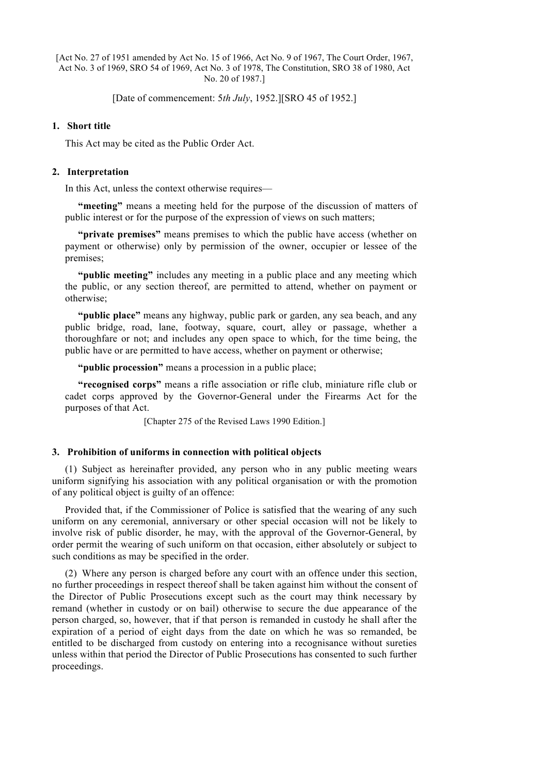[Act No. 27 of 1951 amended by Act No. 15 of 1966, Act No. 9 of 1967, The Court Order, 1967, Act No. 3 of 1969, SRO 54 of 1969, Act No. 3 of 1978, The Constitution, SRO 38 of 1980, Act No. 20 of 1987.]

[Date of commencement: 5*th July*, 1952.][SRO 45 of 1952.]

## **1. Short title**

This Act may be cited as the Public Order Act.

### **2. Interpretation**

In this Act, unless the context otherwise requires—

**"meeting"** means a meeting held for the purpose of the discussion of matters of public interest or for the purpose of the expression of views on such matters;

**"private premises"** means premises to which the public have access (whether on payment or otherwise) only by permission of the owner, occupier or lessee of the premises;

**"public meeting"** includes any meeting in a public place and any meeting which the public, or any section thereof, are permitted to attend, whether on payment or otherwise;

**"public place"** means any highway, public park or garden, any sea beach, and any public bridge, road, lane, footway, square, court, alley or passage, whether a thoroughfare or not; and includes any open space to which, for the time being, the public have or are permitted to have access, whether on payment or otherwise;

**"public procession"** means a procession in a public place;

**"recognised corps"** means a rifle association or rifle club, miniature rifle club or cadet corps approved by the Governor-General under the Firearms Act for the purposes of that Act.

[Chapter 275 of the Revised Laws 1990 Edition.]

#### **3. Prohibition of uniforms in connection with political objects**

(1) Subject as hereinafter provided, any person who in any public meeting wears uniform signifying his association with any political organisation or with the promotion of any political object is guilty of an offence:

Provided that, if the Commissioner of Police is satisfied that the wearing of any such uniform on any ceremonial, anniversary or other special occasion will not be likely to involve risk of public disorder, he may, with the approval of the Governor-General, by order permit the wearing of such uniform on that occasion, either absolutely or subject to such conditions as may be specified in the order.

(2) Where any person is charged before any court with an offence under this section, no further proceedings in respect thereof shall be taken against him without the consent of the Director of Public Prosecutions except such as the court may think necessary by remand (whether in custody or on bail) otherwise to secure the due appearance of the person charged, so, however, that if that person is remanded in custody he shall after the expiration of a period of eight days from the date on which he was so remanded, be entitled to be discharged from custody on entering into a recognisance without sureties unless within that period the Director of Public Prosecutions has consented to such further proceedings.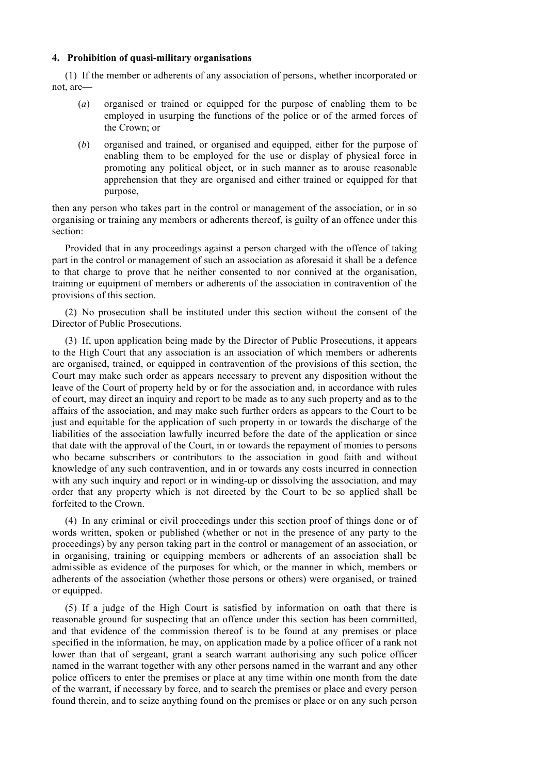## **4. Prohibition of quasi-military organisations**

(1) If the member or adherents of any association of persons, whether incorporated or not, are—

- (*a*) organised or trained or equipped for the purpose of enabling them to be employed in usurping the functions of the police or of the armed forces of the Crown; or
- (*b*) organised and trained, or organised and equipped, either for the purpose of enabling them to be employed for the use or display of physical force in promoting any political object, or in such manner as to arouse reasonable apprehension that they are organised and either trained or equipped for that purpose,

then any person who takes part in the control or management of the association, or in so organising or training any members or adherents thereof, is guilty of an offence under this section:

Provided that in any proceedings against a person charged with the offence of taking part in the control or management of such an association as aforesaid it shall be a defence to that charge to prove that he neither consented to nor connived at the organisation, training or equipment of members or adherents of the association in contravention of the provisions of this section.

(2) No prosecution shall be instituted under this section without the consent of the Director of Public Prosecutions.

(3) If, upon application being made by the Director of Public Prosecutions, it appears to the High Court that any association is an association of which members or adherents are organised, trained, or equipped in contravention of the provisions of this section, the Court may make such order as appears necessary to prevent any disposition without the leave of the Court of property held by or for the association and, in accordance with rules of court, may direct an inquiry and report to be made as to any such property and as to the affairs of the association, and may make such further orders as appears to the Court to be just and equitable for the application of such property in or towards the discharge of the liabilities of the association lawfully incurred before the date of the application or since that date with the approval of the Court, in or towards the repayment of monies to persons who became subscribers or contributors to the association in good faith and without knowledge of any such contravention, and in or towards any costs incurred in connection with any such inquiry and report or in winding-up or dissolving the association, and may order that any property which is not directed by the Court to be so applied shall be forfeited to the Crown.

(4) In any criminal or civil proceedings under this section proof of things done or of words written, spoken or published (whether or not in the presence of any party to the proceedings) by any person taking part in the control or management of an association, or in organising, training or equipping members or adherents of an association shall be admissible as evidence of the purposes for which, or the manner in which, members or adherents of the association (whether those persons or others) were organised, or trained or equipped.

(5) If a judge of the High Court is satisfied by information on oath that there is reasonable ground for suspecting that an offence under this section has been committed, and that evidence of the commission thereof is to be found at any premises or place specified in the information, he may, on application made by a police officer of a rank not lower than that of sergeant, grant a search warrant authorising any such police officer named in the warrant together with any other persons named in the warrant and any other police officers to enter the premises or place at any time within one month from the date of the warrant, if necessary by force, and to search the premises or place and every person found therein, and to seize anything found on the premises or place or on any such person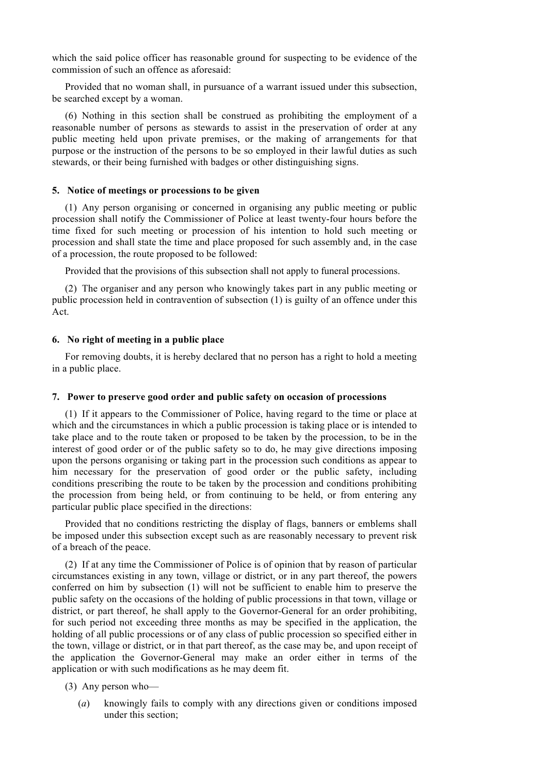which the said police officer has reasonable ground for suspecting to be evidence of the commission of such an offence as aforesaid:

Provided that no woman shall, in pursuance of a warrant issued under this subsection, be searched except by a woman.

(6) Nothing in this section shall be construed as prohibiting the employment of a reasonable number of persons as stewards to assist in the preservation of order at any public meeting held upon private premises, or the making of arrangements for that purpose or the instruction of the persons to be so employed in their lawful duties as such stewards, or their being furnished with badges or other distinguishing signs.

## **5. Notice of meetings or processions to be given**

(1) Any person organising or concerned in organising any public meeting or public procession shall notify the Commissioner of Police at least twenty-four hours before the time fixed for such meeting or procession of his intention to hold such meeting or procession and shall state the time and place proposed for such assembly and, in the case of a procession, the route proposed to be followed:

Provided that the provisions of this subsection shall not apply to funeral processions.

(2) The organiser and any person who knowingly takes part in any public meeting or public procession held in contravention of subsection (1) is guilty of an offence under this Act.

### **6. No right of meeting in a public place**

For removing doubts, it is hereby declared that no person has a right to hold a meeting in a public place.

#### **7. Power to preserve good order and public safety on occasion of processions**

(1) If it appears to the Commissioner of Police, having regard to the time or place at which and the circumstances in which a public procession is taking place or is intended to take place and to the route taken or proposed to be taken by the procession, to be in the interest of good order or of the public safety so to do, he may give directions imposing upon the persons organising or taking part in the procession such conditions as appear to him necessary for the preservation of good order or the public safety, including conditions prescribing the route to be taken by the procession and conditions prohibiting the procession from being held, or from continuing to be held, or from entering any particular public place specified in the directions:

Provided that no conditions restricting the display of flags, banners or emblems shall be imposed under this subsection except such as are reasonably necessary to prevent risk of a breach of the peace.

(2) If at any time the Commissioner of Police is of opinion that by reason of particular circumstances existing in any town, village or district, or in any part thereof, the powers conferred on him by subsection (1) will not be sufficient to enable him to preserve the public safety on the occasions of the holding of public processions in that town, village or district, or part thereof, he shall apply to the Governor-General for an order prohibiting, for such period not exceeding three months as may be specified in the application, the holding of all public processions or of any class of public procession so specified either in the town, village or district, or in that part thereof, as the case may be, and upon receipt of the application the Governor-General may make an order either in terms of the application or with such modifications as he may deem fit.

#### (3) Any person who—

(*a*) knowingly fails to comply with any directions given or conditions imposed under this section;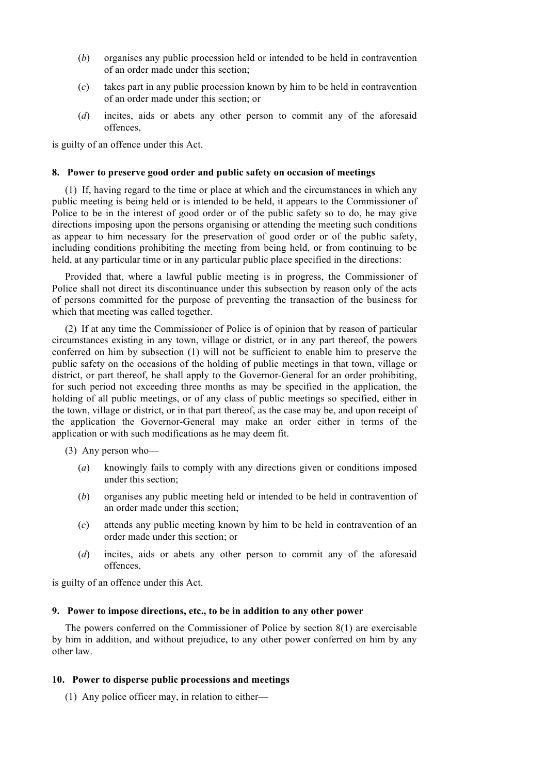- (*b*) organises any public procession held or intended to be held in contravention of an order made under this section;
- (*c*) takes part in any public procession known by him to be held in contravention of an order made under this section; or
- (*d*) incites, aids or abets any other person to commit any of the aforesaid offences,

is guilty of an offence under this Act.

#### **8. Power to preserve good order and public safety on occasion of meetings**

(1) If, having regard to the time or place at which and the circumstances in which any public meeting is being held or is intended to be held, it appears to the Commissioner of Police to be in the interest of good order or of the public safety so to do, he may give directions imposing upon the persons organising or attending the meeting such conditions as appear to him necessary for the preservation of good order or of the public safety, including conditions prohibiting the meeting from being held, or from continuing to be held, at any particular time or in any particular public place specified in the directions:

Provided that, where a lawful public meeting is in progress, the Commissioner of Police shall not direct its discontinuance under this subsection by reason only of the acts of persons committed for the purpose of preventing the transaction of the business for which that meeting was called together.

(2) If at any time the Commissioner of Police is of opinion that by reason of particular circumstances existing in any town, village or district, or in any part thereof, the powers conferred on him by subsection (1) will not be sufficient to enable him to preserve the public safety on the occasions of the holding of public meetings in that town, village or district, or part thereof, he shall apply to the Governor-General for an order prohibiting, for such period not exceeding three months as may be specified in the application, the holding of all public meetings, or of any class of public meetings so specified, either in the town, village or district, or in that part thereof, as the case may be, and upon receipt of the application the Governor-General may make an order either in terms of the application or with such modifications as he may deem fit.

(3) Any person who—

- (*a*) knowingly fails to comply with any directions given or conditions imposed under this section;
- (*b*) organises any public meeting held or intended to be held in contravention of an order made under this section;
- (*c*) attends any public meeting known by him to be held in contravention of an order made under this section; or
- (*d*) incites, aids or abets any other person to commit any of the aforesaid offences,

is guilty of an offence under this Act.

## **9. Power to impose directions, etc., to be in addition to any other power**

The powers conferred on the Commissioner of Police by section 8(1) are exercisable by him in addition, and without prejudice, to any other power conferred on him by any other law.

# **10. Power to disperse public processions and meetings**

(1) Any police officer may, in relation to either—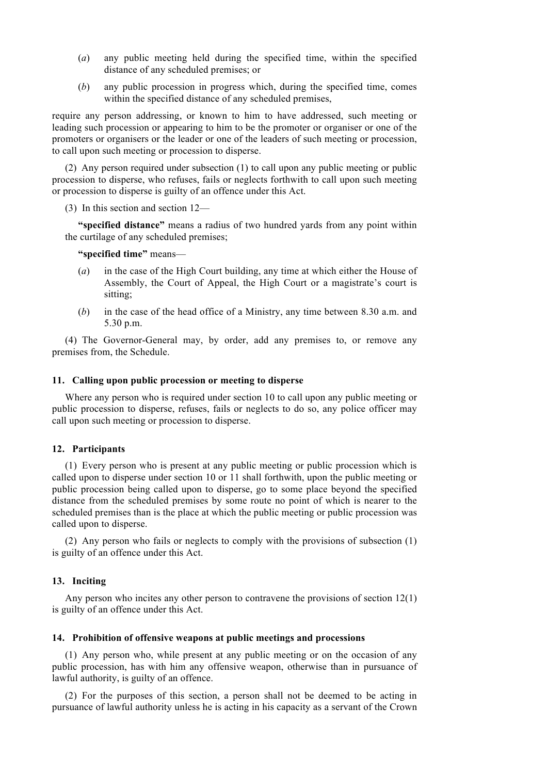- (*a*) any public meeting held during the specified time, within the specified distance of any scheduled premises; or
- (*b*) any public procession in progress which, during the specified time, comes within the specified distance of any scheduled premises,

require any person addressing, or known to him to have addressed, such meeting or leading such procession or appearing to him to be the promoter or organiser or one of the promoters or organisers or the leader or one of the leaders of such meeting or procession, to call upon such meeting or procession to disperse.

(2) Any person required under subsection (1) to call upon any public meeting or public procession to disperse, who refuses, fails or neglects forthwith to call upon such meeting or procession to disperse is guilty of an offence under this Act.

(3) In this section and section 12—

**"specified distance"** means a radius of two hundred yards from any point within the curtilage of any scheduled premises;

**"specified time"** means—

- (*a*) in the case of the High Court building, any time at which either the House of Assembly, the Court of Appeal, the High Court or a magistrate's court is sitting;
- (*b*) in the case of the head office of a Ministry, any time between 8.30 a.m. and 5.30 p.m.

(4) The Governor-General may, by order, add any premises to, or remove any premises from, the Schedule.

#### **11. Calling upon public procession or meeting to disperse**

Where any person who is required under section 10 to call upon any public meeting or public procession to disperse, refuses, fails or neglects to do so, any police officer may call upon such meeting or procession to disperse.

#### **12. Participants**

(1) Every person who is present at any public meeting or public procession which is called upon to disperse under section 10 or 11 shall forthwith, upon the public meeting or public procession being called upon to disperse, go to some place beyond the specified distance from the scheduled premises by some route no point of which is nearer to the scheduled premises than is the place at which the public meeting or public procession was called upon to disperse.

(2) Any person who fails or neglects to comply with the provisions of subsection (1) is guilty of an offence under this Act.

#### **13. Inciting**

Any person who incites any other person to contravene the provisions of section 12(1) is guilty of an offence under this Act.

## **14. Prohibition of offensive weapons at public meetings and processions**

(1) Any person who, while present at any public meeting or on the occasion of any public procession, has with him any offensive weapon, otherwise than in pursuance of lawful authority, is guilty of an offence.

(2) For the purposes of this section, a person shall not be deemed to be acting in pursuance of lawful authority unless he is acting in his capacity as a servant of the Crown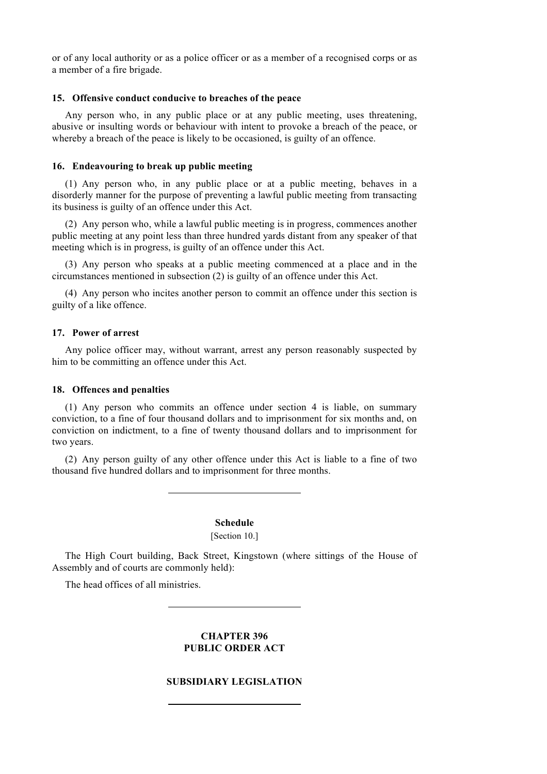or of any local authority or as a police officer or as a member of a recognised corps or as a member of a fire brigade.

#### **15. Offensive conduct conducive to breaches of the peace**

Any person who, in any public place or at any public meeting, uses threatening, abusive or insulting words or behaviour with intent to provoke a breach of the peace, or whereby a breach of the peace is likely to be occasioned, is guilty of an offence.

# **16. Endeavouring to break up public meeting**

(1) Any person who, in any public place or at a public meeting, behaves in a disorderly manner for the purpose of preventing a lawful public meeting from transacting its business is guilty of an offence under this Act.

(2) Any person who, while a lawful public meeting is in progress, commences another public meeting at any point less than three hundred yards distant from any speaker of that meeting which is in progress, is guilty of an offence under this Act.

(3) Any person who speaks at a public meeting commenced at a place and in the circumstances mentioned in subsection (2) is guilty of an offence under this Act.

(4) Any person who incites another person to commit an offence under this section is guilty of a like offence.

#### **17. Power of arrest**

Any police officer may, without warrant, arrest any person reasonably suspected by him to be committing an offence under this Act.

#### **18. Offences and penalties**

(1) Any person who commits an offence under section 4 is liable, on summary conviction, to a fine of four thousand dollars and to imprisonment for six months and, on conviction on indictment, to a fine of twenty thousand dollars and to imprisonment for two years.

(2) Any person guilty of any other offence under this Act is liable to a fine of two thousand five hundred dollars and to imprisonment for three months.

## **Schedule**

[Section 10.]

The High Court building, Back Street, Kingstown (where sittings of the House of Assembly and of courts are commonly held):

The head offices of all ministries.

# **CHAPTER 396 PUBLIC ORDER ACT**

# **SUBSIDIARY LEGISLATION**